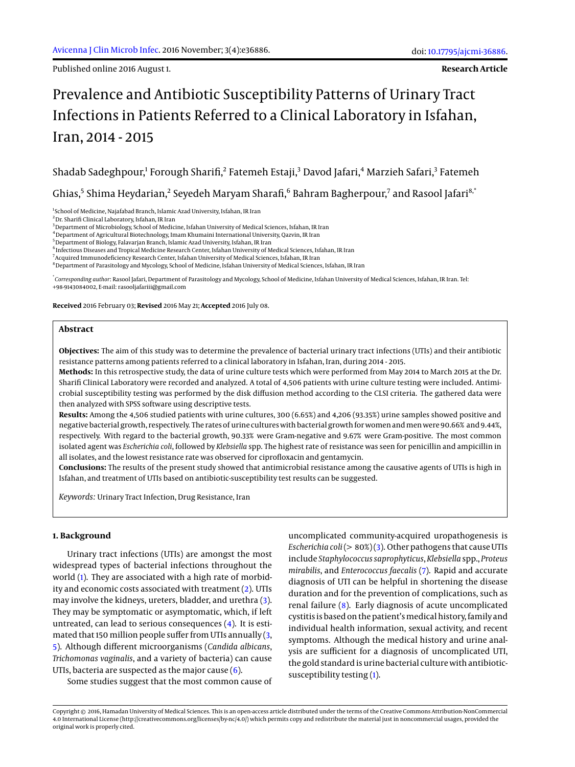Published online 2016 August 1.

**Research Article**

# Prevalence and Antibiotic Susceptibility Patterns of Urinary Tract Infections in Patients Referred to a Clinical Laboratory in Isfahan, Iran, 2014 - 2015

Shadab Sadeghpour,<sup>1</sup> Forough Sharifi,<sup>2</sup> Fatemeh Estaji,<sup>3</sup> Davod Jafari,<sup>4</sup> Marzieh Safari,<sup>3</sup> Fatemeh

Ghias, $^5$  Shima Heydarian, $^2$  Seyedeh Maryam Sharafi, $^6$  Bahram Bagherpour, $^7$  and Rasool Jafari $^{8,^{\circ}}$ 

<sup>1</sup>School of Medicine, Najafabad Branch, Islamic Azad University, Isfahan, IR Iran

<sup>2</sup>Dr. Sharifi Clinical Laboratory, Isfahan, IR Iran

<sup>3</sup> Department of Microbiology, School of Medicine, Isfahan University of Medical Sciences, Isfahan, IR Iran

 $^4$ Department of Agricultural Biotechnology, Imam Khumaini International University, Qazvin, IR Iran

<sup>5</sup>Department of Biology, Falavarjan Branch, Islamic Azad University, Isfahan, IR Iran

 $^6$ Infectious Diseases and Tropical Medicine Research Center, Isfahan University of Medical Sciences, Isfahan, IR Iran

<sup>7</sup> Acquired Immunodeficiency Research Center, Isfahan University of Medical Sciences, Isfahan, IR Iran

<sup>8</sup> Department of Parasitology and Mycology, School of Medicine, Isfahan University of Medical Sciences, Isfahan, IR Iran

\* *Corresponding author*: Rasool Jafari, Department of Parasitology and Mycology, School of Medicine, Isfahan University of Medical Sciences, Isfahan, IR Iran. Tel: +98-9143084002, E-mail: rasooljafariii@gmail.com

**Received** 2016 February 03; **Revised** 2016 May 21; **Accepted** 2016 July 08.

## **Abstract**

**Objectives:** The aim of this study was to determine the prevalence of bacterial urinary tract infections (UTIs) and their antibiotic resistance patterns among patients referred to a clinical laboratory in Isfahan, Iran, during 2014 - 2015.

**Methods:** In this retrospective study, the data of urine culture tests which were performed from May 2014 to March 2015 at the Dr. Sharifi Clinical Laboratory were recorded and analyzed. A total of 4,506 patients with urine culture testing were included. Antimicrobial susceptibility testing was performed by the disk diffusion method according to the CLSI criteria. The gathered data were then analyzed with SPSS software using descriptive tests.

**Results:** Among the 4,506 studied patients with urine cultures, 300 (6.65%) and 4,206 (93.35%) urine samples showed positive and negative bacterial growth, respectively. The rates of urine cultures with bacterial growth for women and men were 90.66% and 9.44%, respectively. With regard to the bacterial growth, 90.33% were Gram-negative and 9.67% were Gram-positive. The most common isolated agent was *Escherichia coli*, followed by *Klebsiella* spp. The highest rate of resistance was seen for penicillin and ampicillin in all isolates, and the lowest resistance rate was observed for ciprofloxacin and gentamycin.

**Conclusions:** The results of the present study showed that antimicrobial resistance among the causative agents of UTIs is high in Isfahan, and treatment of UTIs based on antibiotic-susceptibility test results can be suggested.

*Keywords:* Urinary Tract Infection, Drug Resistance, Iran

# **1. Background**

Urinary tract infections (UTIs) are amongst the most widespread types of bacterial infections throughout the world [\(1\)](#page-2-0). They are associated with a high rate of morbidity and economic costs associated with treatment [\(2\)](#page-2-1). UTIs may involve the kidneys, ureters, bladder, and urethra [\(3\)](#page-3-0). They may be symptomatic or asymptomatic, which, if left untreated, can lead to serious consequences [\(4\)](#page-3-1). It is estimated that 150 million people suffer from UTIs annually [\(3,](#page-3-0) [5\)](#page-3-2). Although different microorganisms (*Candida albicans*, *Trichomonas vaginalis*, and a variety of bacteria) can cause UTIs, bacteria are suspected as the major cause  $(6)$ .

Some studies suggest that the most common cause of

uncomplicated community-acquired uropathogenesis is *Escherichia coli*(> 80%) [\(3\)](#page-3-0). Other pathogens that cause UTIs include *Staphylococcus saprophyticus*, *Klebsiella* spp., *Proteus mirabilis*, and *Enterococcus faecalis* [\(7\)](#page-3-4). Rapid and accurate diagnosis of UTI can be helpful in shortening the disease duration and for the prevention of complications, such as renal failure [\(8\)](#page-3-5). Early diagnosis of acute uncomplicated cystitis is based on the patient'smedical history, family and individual health information, sexual activity, and recent symptoms. Although the medical history and urine analysis are sufficient for a diagnosis of uncomplicated UTI, the gold standard is urine bacterial culture with antibioticsusceptibility testing [\(1\)](#page-2-0).

Copyright © 2016, Hamadan University of Medical Sciences. This is an open-access article distributed under the terms of the Creative Commons Attribution-NonCommercial 4.0 International License (http://creativecommons.org/licenses/by-nc/4.0/) which permits copy and redistribute the material just in noncommercial usages, provided the original work is properly cited.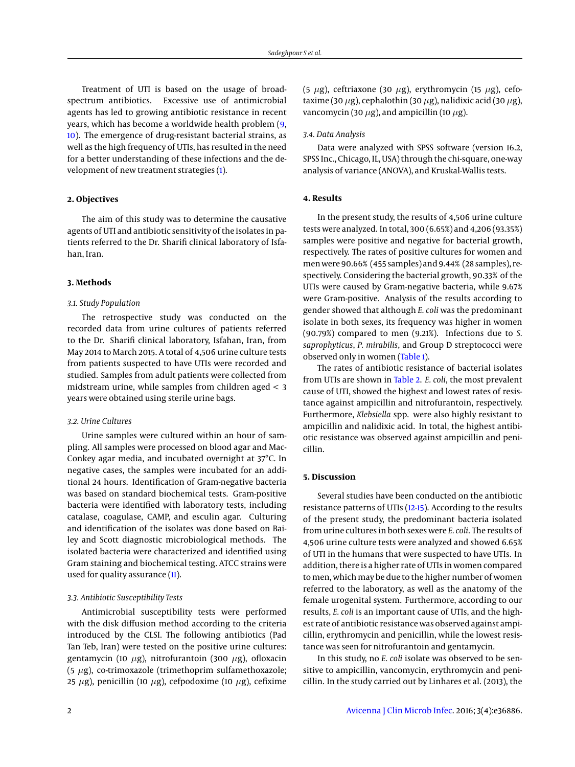Treatment of UTI is based on the usage of broadspectrum antibiotics. Excessive use of antimicrobial agents has led to growing antibiotic resistance in recent years, which has become a worldwide health problem [\(9,](#page-3-6) [10\)](#page-3-7). The emergence of drug-resistant bacterial strains, as well as the high frequency of UTIs, has resulted in the need for a better understanding of these infections and the development of new treatment strategies [\(1\)](#page-2-0).

## **2. Objectives**

The aim of this study was to determine the causative agents of UTI and antibiotic sensitivity of the isolates in patients referred to the Dr. Sharifi clinical laboratory of Isfahan, Iran.

### **3. Methods**

#### *3.1. Study Population*

The retrospective study was conducted on the recorded data from urine cultures of patients referred to the Dr. Sharifi clinical laboratory, Isfahan, Iran, from May 2014 to March 2015. A total of 4,506 urine culture tests from patients suspected to have UTIs were recorded and studied. Samples from adult patients were collected from midstream urine, while samples from children aged < 3 years were obtained using sterile urine bags.

# *3.2. Urine Cultures*

Urine samples were cultured within an hour of sampling. All samples were processed on blood agar and Mac-Conkey agar media, and incubated overnight at 37°C. In negative cases, the samples were incubated for an additional 24 hours. Identification of Gram-negative bacteria was based on standard biochemical tests. Gram-positive bacteria were identified with laboratory tests, including catalase, coagulase, CAMP, and esculin agar. Culturing and identification of the isolates was done based on Bailey and Scott diagnostic microbiological methods. The isolated bacteria were characterized and identified using Gram staining and biochemical testing. ATCC strains were used for quality assurance [\(11\)](#page-3-8).

#### *3.3. Antibiotic Susceptibility Tests*

Antimicrobial susceptibility tests were performed with the disk diffusion method according to the criteria introduced by the CLSI. The following antibiotics (Pad Tan Teb, Iran) were tested on the positive urine cultures: gentamycin (10  $\mu$ g), nitrofurantoin (300  $\mu$ g), ofloxacin (5  $\mu$ g), co-trimoxazole (trimethoprim sulfamethoxazole; 25  $\mu$ g), penicillin (10  $\mu$ g), cefpodoxime (10  $\mu$ g), cefixime

(5  $\mu$ g), ceftriaxone (30  $\mu$ g), erythromycin (15  $\mu$ g), cefotaxime (30  $\mu$ g), cephalothin (30  $\mu$ g), nalidixic acid (30  $\mu$ g), vancomycin (30  $\mu$ g), and ampicillin (10  $\mu$ g).

#### *3.4. Data Analysis*

Data were analyzed with SPSS software (version 16.2, SPSS Inc., Chicago, IL, USA) through the chi-square, one-way analysis of variance (ANOVA), and Kruskal-Wallis tests.

#### **4. Results**

In the present study, the results of 4,506 urine culture tests were analyzed. In total, 300 (6.65%) and 4,206 (93.35%) samples were positive and negative for bacterial growth, respectively. The rates of positive cultures for women and men were 90.66% (455 samples) and 9.44% (28 samples), respectively. Considering the bacterial growth, 90.33% of the UTIs were caused by Gram-negative bacteria, while 9.67% were Gram-positive. Analysis of the results according to gender showed that although *E. coli* was the predominant isolate in both sexes, its frequency was higher in women (90.79%) compared to men (9.21%). Infections due to *S. saprophyticus*, *P. mirabilis*, and Group D streptococci were observed only in women [\(Table 1\)](#page-2-2).

The rates of antibiotic resistance of bacterial isolates from UTIs are shown in [Table 2.](#page-4-0) *E. coli*, the most prevalent cause of UTI, showed the highest and lowest rates of resistance against ampicillin and nitrofurantoin, respectively. Furthermore, *Klebsiella* spp. were also highly resistant to ampicillin and nalidixic acid. In total, the highest antibiotic resistance was observed against ampicillin and penicillin.

# **5. Discussion**

Several studies have been conducted on the antibiotic resistance patterns of UTIs [\(12](#page-3-9)[-15\)](#page-3-10). According to the results of the present study, the predominant bacteria isolated from urine cultures in both sexes were *E. coli*. The results of 4,506 urine culture tests were analyzed and showed 6.65% of UTI in the humans that were suspected to have UTIs. In addition, there is a higher rate of UTIs in women compared to men, which may be due to the higher number of women referred to the laboratory, as well as the anatomy of the female urogenital system. Furthermore, according to our results, *E. coli* is an important cause of UTIs, and the highest rate of antibiotic resistance was observed against ampicillin, erythromycin and penicillin, while the lowest resistance was seen for nitrofurantoin and gentamycin.

In this study, no *E. coli* isolate was observed to be sensitive to ampicillin, vancomycin, erythromycin and penicillin. In the study carried out by Linhares et al. (2013), the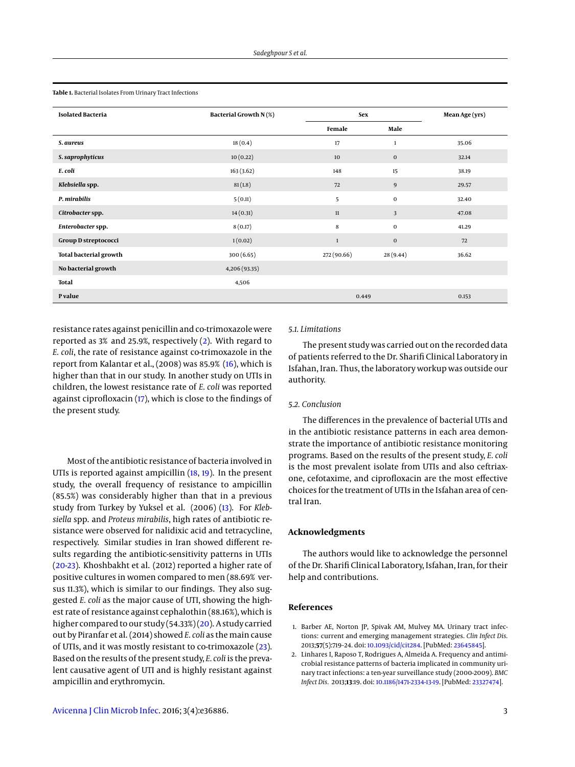<span id="page-2-2"></span>**Table 1.** Bacterial Isolates From Urinary Tract Infections

| <b>Isolated Bacteria</b>      | Bacterial Growth N(%) | <b>Sex</b>   |                | Mean Age (yrs) |  |
|-------------------------------|-----------------------|--------------|----------------|----------------|--|
|                               |                       | Female       | Male           |                |  |
| S. aureus                     | 18(0.4)               | 17           | $\mathbf{1}$   | 35.06          |  |
| S. saprophyticus              | 10(0.22)              | 10           | $\mathbf 0$    | 32.14          |  |
| E. coli                       | 163(3.62)             | 148          | 15             | 38.19          |  |
| Klebsiella spp.               | 81(1.8)               | 72           | $\overline{9}$ | 29.57          |  |
| P. mirabilis                  | 5(0.11)               | 5            | $\bf{0}$       | 32.40          |  |
| Citrobacter spp.              | 14(0.31)              | $11\,$       | 3              | 47.08          |  |
| Enterobacter spp.             | 8(0.17)               | $\bf8$       | $\bf{0}$       | 41.29          |  |
| Group D streptococci          | 1(0.02)               | $\mathbf{1}$ | $\bf{0}$       | 72             |  |
| <b>Total bacterial growth</b> | 300(6.65)             | 272 (90.66)  | 28(9.44)       | 36.62          |  |
| No bacterial growth           | 4,206 (93.35)         |              |                |                |  |
| Total                         | 4,506                 |              |                |                |  |
| P value                       |                       | 0.449        |                | 0.153          |  |

resistance rates against penicillin and co-trimoxazole were reported as 3% and 25.9%, respectively [\(2\)](#page-2-1). With regard to *E. coli*, the rate of resistance against co-trimoxazole in the report from Kalantar et al., (2008) was 85.9% [\(16\)](#page-3-11), which is higher than that in our study. In another study on UTIs in children, the lowest resistance rate of *E. coli* was reported against ciprofloxacin [\(17\)](#page-3-12), which is close to the findings of the present study.

Most of the antibiotic resistance of bacteria involved in UTIs is reported against ampicillin [\(18,](#page-3-13) [19\)](#page-3-14). In the present study, the overall frequency of resistance to ampicillin (85.5%) was considerably higher than that in a previous study from Turkey by Yuksel et al. (2006) [\(13\)](#page-3-15). For *Klebsiella* spp. and *Proteus mirabilis*, high rates of antibiotic resistance were observed for nalidixic acid and tetracycline, respectively. Similar studies in Iran showed different results regarding the antibiotic-sensitivity patterns in UTIs [\(20](#page-3-16)[-23\)](#page-3-17). Khoshbakht et al. (2012) reported a higher rate of positive cultures in women compared to men (88.69% versus 11.3%), which is similar to our findings. They also suggested *E. coli* as the major cause of UTI, showing the highest rate of resistance against cephalothin (88.16%), which is higher compared to our study (54.33%) [\(20\)](#page-3-16). A study carried out by Piranfar et al. (2014) showed *E. coli* as the main cause of UTIs, and it was mostly resistant to co-trimoxazole [\(23\)](#page-3-17). Based on the results of the present study, *E. coli* is the prevalent causative agent of UTI and is highly resistant against ampicillin and erythromycin.

# *5.1. Limitations*

The present study was carried out on the recorded data of patients referred to the Dr. Sharifi Clinical Laboratory in Isfahan, Iran. Thus, the laboratory workup was outside our authority.

# *5.2. Conclusion*

The differences in the prevalence of bacterial UTIs and in the antibiotic resistance patterns in each area demonstrate the importance of antibiotic resistance monitoring programs. Based on the results of the present study, *E. coli* is the most prevalent isolate from UTIs and also ceftriaxone, cefotaxime, and ciprofloxacin are the most effective choices for the treatment of UTIs in the Isfahan area of central Iran.

# **Acknowledgments**

The authors would like to acknowledge the personnel of the Dr. Sharifi Clinical Laboratory, Isfahan, Iran, for their help and contributions.

# **References**

- <span id="page-2-0"></span>1. Barber AE, Norton JP, Spivak AM, Mulvey MA. Urinary tract infections: current and emerging management strategies. *Clin Infect Dis.* 2013;**57**(5):719–24. doi: [10.1093/cid/cit284.](http://dx.doi.org/10.1093/cid/cit284) [PubMed: [23645845\]](http://www.ncbi.nlm.nih.gov/pubmed/23645845).
- <span id="page-2-1"></span>2. Linhares I, Raposo T, Rodrigues A, Almeida A. Frequency and antimicrobial resistance patterns of bacteria implicated in community urinary tract infections: a ten-year surveillance study (2000-2009). *BMC Infect Dis.* 2013;**13**:19. doi: [10.1186/1471-2334-13-19.](http://dx.doi.org/10.1186/1471-2334-13-19) [PubMed: [23327474\]](http://www.ncbi.nlm.nih.gov/pubmed/23327474).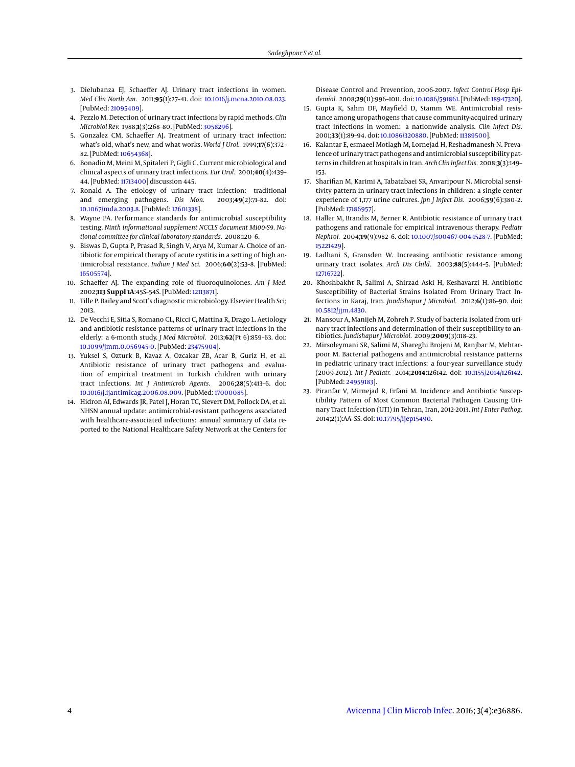- <span id="page-3-0"></span>3. Dielubanza EJ, Schaeffer AJ. Urinary tract infections in women. *Med Clin North Am.* 2011;**95**(1):27–41. doi: [10.1016/j.mcna.2010.08.023.](http://dx.doi.org/10.1016/j.mcna.2010.08.023) [PubMed: [21095409\]](http://www.ncbi.nlm.nih.gov/pubmed/21095409).
- <span id="page-3-1"></span>4. Pezzlo M. Detection of urinary tract infections by rapid methods. *Clin Microbiol Rev.* 1988;**1**(3):268–80. [PubMed: [3058296\]](http://www.ncbi.nlm.nih.gov/pubmed/3058296).
- <span id="page-3-2"></span>5. Gonzalez CM, Schaeffer AJ. Treatment of urinary tract infection: what's old, what's new, and what works. *World J Urol.* 1999;**17**(6):372– 82. [PubMed: [10654368\]](http://www.ncbi.nlm.nih.gov/pubmed/10654368).
- <span id="page-3-3"></span>6. Bonadio M, Meini M, Spitaleri P, Gigli C. Current microbiological and clinical aspects of urinary tract infections. *Eur Urol.* 2001;**40**(4):439– 44. [PubMed: [11713400\]](http://www.ncbi.nlm.nih.gov/pubmed/11713400) discussion 445.
- <span id="page-3-4"></span>7. Ronald A. The etiology of urinary tract infection: traditional<br>and emerging pathogens. *Dis Mon.* 2003;49(2):71-82. doi: and emerging pathogens. Dis Mon. [10.1067/mda.2003.8.](http://dx.doi.org/10.1067/mda.2003.8) [PubMed: [12601338\]](http://www.ncbi.nlm.nih.gov/pubmed/12601338).
- <span id="page-3-5"></span>8. Wayne PA. Performance standards for antimicrobial susceptibility testing. *Ninth informational supplement NCCLS document M100-S9. National committee for clinical laboratory standards.* 2008:120–6.
- <span id="page-3-6"></span>9. Biswas D, Gupta P, Prasad R, Singh V, Arya M, Kumar A. Choice of antibiotic for empirical therapy of acute cystitis in a setting of high antimicrobial resistance. *Indian J Med Sci.* 2006;**60**(2):53–8. [PubMed: [16505574\]](http://www.ncbi.nlm.nih.gov/pubmed/16505574).
- <span id="page-3-7"></span>10. Schaeffer AJ. The expanding role of fluoroquinolones. *Am J Med.* 2002;**113 Suppl 1A**:45S–54S. [PubMed: [12113871\]](http://www.ncbi.nlm.nih.gov/pubmed/12113871).
- <span id="page-3-8"></span>11. Tille P. Bailey and Scott's diagnostic microbiology. Elsevier Health Sci; 2013.
- <span id="page-3-9"></span>12. De Vecchi E, Sitia S, Romano CL, Ricci C, Mattina R, Drago L. Aetiology and antibiotic resistance patterns of urinary tract infections in the elderly: a 6-month study. *J Med Microbiol.* 2013;**62**(Pt 6):859–63. doi: [10.1099/jmm.0.056945-0.](http://dx.doi.org/10.1099/jmm.0.056945-0) [PubMed: [23475904\]](http://www.ncbi.nlm.nih.gov/pubmed/23475904).
- <span id="page-3-15"></span>13. Yuksel S, Ozturk B, Kavaz A, Ozcakar ZB, Acar B, Guriz H, et al. Antibiotic resistance of urinary tract pathogens and evaluation of empirical treatment in Turkish children with urinary tract infections. *Int J Antimicrob Agents.* 2006;**28**(5):413–6. doi: [10.1016/j.ijantimicag.2006.08.009.](http://dx.doi.org/10.1016/j.ijantimicag.2006.08.009) [PubMed: [17000085\]](http://www.ncbi.nlm.nih.gov/pubmed/17000085).
- 14. Hidron AI, Edwards JR, Patel J, Horan TC, Sievert DM, Pollock DA, et al. NHSN annual update: antimicrobial-resistant pathogens associated with healthcare-associated infections: annual summary of data reported to the National Healthcare Safety Network at the Centers for

Disease Control and Prevention, 2006-2007. *Infect Control Hosp Epidemiol.* 2008;**29**(11):996–1011. doi: [10.1086/591861.](http://dx.doi.org/10.1086/591861) [PubMed: [18947320\]](http://www.ncbi.nlm.nih.gov/pubmed/18947320).

- <span id="page-3-10"></span>15. Gupta K, Sahm DF, Mayfield D, Stamm WE. Antimicrobial resistance among uropathogens that cause community-acquired urinary tract infections in women: a nationwide analysis. *Clin Infect Dis.* 2001;**33**(1):89–94. doi: [10.1086/320880.](http://dx.doi.org/10.1086/320880) [PubMed: [11389500\]](http://www.ncbi.nlm.nih.gov/pubmed/11389500).
- <span id="page-3-11"></span>16. Kalantar E, esmaeel Motlagh M, Lornejad H, Reshadmanesh N. Prevalence of urinary tract pathogens and antimicrobial susceptibility patterns in children at hospitals in Iran.*Arch ClinInfect Dis.* 2008;**3**(3):149– 153.
- <span id="page-3-12"></span>17. Sharifian M, Karimi A, Tabatabaei SR, Anvaripour N. Microbial sensitivity pattern in urinary tract infections in children: a single center experience of 1,177 urine cultures. *Jpn J Infect Dis.* 2006;**59**(6):380–2. [PubMed: [17186957\]](http://www.ncbi.nlm.nih.gov/pubmed/17186957).
- <span id="page-3-13"></span>18. Haller M, Brandis M, Berner R. Antibiotic resistance of urinary tract pathogens and rationale for empirical intravenous therapy. *Pediatr Nephrol.* 2004;**19**(9):982–6. doi: [10.1007/s00467-004-1528-7.](http://dx.doi.org/10.1007/s00467-004-1528-7) [PubMed: [15221429\]](http://www.ncbi.nlm.nih.gov/pubmed/15221429).
- <span id="page-3-14"></span>19. Ladhani S, Gransden W. Increasing antibiotic resistance among urinary tract isolates. *Arch Dis Child.* 2003;**88**(5):444–5. [PubMed: [12716722\]](http://www.ncbi.nlm.nih.gov/pubmed/12716722).
- <span id="page-3-16"></span>20. Khoshbakht R, Salimi A, Shirzad Aski H, Keshavarzi H. Antibiotic Susceptibility of Bacterial Strains Isolated From Urinary Tract Infections in Karaj, Iran. *Jundishapur J Microbiol.* 2012;**6**(1):86–90. doi: [10.5812/jjm.4830.](http://dx.doi.org/10.5812/jjm.4830)
- 21. Mansour A, Manijeh M, Zohreh P. Study of bacteria isolated from urinary tract infections and determination of their susceptibility to antibiotics. *Jundishapur J Microbiol.* 2009;**2009**(3):118–23.
- 22. Mirsoleymani SR, Salimi M, Shareghi Brojeni M, Ranjbar M, Mehtarpoor M. Bacterial pathogens and antimicrobial resistance patterns in pediatric urinary tract infections: a four-year surveillance study (2009-2012). *Int J Pediatr.* 2014;**2014**:126142. doi: [10.1155/2014/126142.](http://dx.doi.org/10.1155/2014/126142) [PubMed: [24959183\]](http://www.ncbi.nlm.nih.gov/pubmed/24959183).
- <span id="page-3-17"></span>23. Piranfar V, Mirnejad R, Erfani M. Incidence and Antibiotic Susceptibility Pattern of Most Common Bacterial Pathogen Causing Urinary Tract Infection (UTI) in Tehran, Iran, 2012-2013. *Int J Enter Pathog.* 2014;**2**(1):AA–SS. doi: [10.17795/ijep15490.](http://dx.doi.org/10.17795/ijep15490)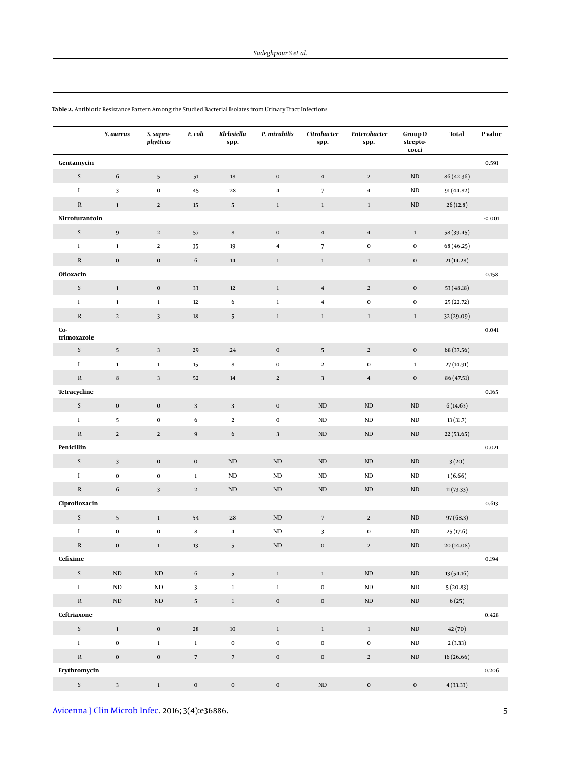|                    | S. aureus        | S. sapro-<br>phyticus   | E. coli          | Klebsiella<br>spp. | P. mirabilis   | Citrobacter<br>spp.     | Enterobacter<br>spp.    | <b>Group D</b><br>strepto-<br>cocci | Total      | P value |
|--------------------|------------------|-------------------------|------------------|--------------------|----------------|-------------------------|-------------------------|-------------------------------------|------------|---------|
| Gentamycin         |                  |                         |                  |                    |                |                         |                         |                                     |            | 0.591   |
| $\mathsf S$        | $\sqrt{6}$       | $5\phantom{.0}$         | 51               | $18\,$             | $\bf{0}$       | $\bf{4}$                | $\overline{2}$          | $\rm ND$                            | 86 (42.36) |         |
| $\rm I$            | 3                | $\pmb{0}$               | 45               | 28                 | $\bf{4}$       | $\overline{7}$          | $\overline{\bf 4}$      | ND                                  | 91 (44.82) |         |
| ${\mathbb R}$      | $1\,$            | $\sqrt{2}$              | $15\,$           | $5\phantom{.0}$    | $1\,$          | $1\,$                   | $1\,$                   | $\rm ND$                            | 26(12.8)   |         |
| Nitrofurantoin     |                  |                         |                  |                    |                |                         |                         |                                     |            | $<001$  |
| $\mathsf S$        | $\boldsymbol{9}$ | $\sqrt{2}$              | 57               | $\,$ 8 $\,$        | $\mathbf 0$    | $\bf{4}$                | $\overline{\mathbf{4}}$ | $\,1$                               | 58 (39.45) |         |
| $\rm I$            | $1\,$            | $\mathbf 2$             | 35               | 19                 | $\bf{4}$       | $\overline{7}$          | $\mathbf 0$             | $\mathbf 0$                         | 68 (46.25) |         |
| ${\bf R}$          | $\mathbf 0$      | $\boldsymbol{0}$        | 6                | $14\,$             | $1\,$          | $\,1\,$                 | $1\,$                   | $\mathbf 0$                         | 21(14.28)  |         |
| Ofloxacin          |                  |                         |                  |                    |                |                         |                         |                                     |            | 0.158   |
| $\mathsf S$        | $\,1\,$          | $\boldsymbol{0}$        | 33               | $12\,$             | $1\,$          | $\overline{\mathbf{4}}$ | $\overline{a}$          | $\mathbf 0$                         | 53(48.18)  |         |
| $\rm I$            | $\mathbf 1$      | $\mathbf{1}$            | $12\,$           | 6                  | $\,1\,$        | $\overline{\bf 4}$      | $\bf{0}$                | $\mathbf 0$                         | 25 (22.72) |         |
| ${\mathbb R}$      | $\overline{2}$   | $\overline{3}$          | $18\,$           | 5                  | $1\,$          | $\mathbf{1}$            | $\mathbf{1}$            | $\mathbf{1}$                        | 32 (29.09) |         |
| Co-<br>trimoxazole |                  |                         |                  |                    |                |                         |                         |                                     |            | 0.041   |
| $\mathsf S$        | $\sqrt{5}$       | $\sqrt{3}$              | 29               | 24                 | $\mathbf 0$    | $\overline{5}$          | $\overline{2}$          | $\mathbf 0$                         | 68 (37.56) |         |
| $\;$ I             | $\mathbf 1$      | $\,1\,$                 | 15               | $\bf8$             | $\mathbf 0$    | $\overline{a}$          | $\mathbf 0$             | $\mathbf 1$                         | 27 (14.91) |         |
| ${\mathbb R}$      | $\bf8$           | $\overline{\mathbf{3}}$ | 52               | $14\,$             | $\overline{2}$ | $\mathbf{3}$            | $\overline{\mathbf{4}}$ | $\mathbf 0$                         | 86 (47.51) |         |
| Tetracycline       |                  |                         |                  |                    |                |                         |                         |                                     |            | 0.165   |
| $\mathsf S$        | $\mathbf 0$      | $\mathbf 0$             | $\mathbf{3}$     | $\mathbf{3}$       | $\mathbf 0$    | ${\rm ND}$              | ND                      | $\rm ND$                            | 6(14.63)   |         |
| $\rm I$            | 5                | $\mathbf 0$             | 6                | $\overline{a}$     | $\mathbf 0$    | $\rm ND$                | $\rm ND$                | $\rm ND$                            | 13(31.7)   |         |
| ${\mathbb R}$      | $\overline{2}$   | $\,2$                   | $\boldsymbol{9}$ | $\sqrt{6}$         | $\mathbf{3}$   | $\rm ND$                | ND                      | $\rm ND$                            | 22(53.65)  |         |
| Penicillin         |                  |                         |                  |                    |                |                         |                         |                                     |            | 0.021   |
| $\mathsf S$        | $\mathbf{3}$     | $\mathbf 0$             | $\mathbf 0$      | $\rm ND$           | $\rm ND$       | $\rm ND$                | $\rm ND$                | $\rm ND$                            | 3(20)      |         |
| $\rm I$            | $\mathbf 0$      | $\bf{0}$                | $\mathbf 1$      | $\rm ND$           | ND             | ND                      | <b>ND</b>               | $\rm ND$                            | 1(6.66)    |         |
| ${\mathbb R}$      | $\sqrt{6}$       | $\overline{3}$          | $\overline{2}$   | $\rm ND$           | $\rm ND$       | $\rm ND$                | $\rm ND$                | $\rm ND$                            | 11(73.33)  |         |
| Ciprofloxacin      |                  |                         |                  |                    |                |                         |                         |                                     |            | 0.613   |
| $\mathsf S$        | $\sqrt{5}$       | $1\,$                   | 54               | 28                 | $\rm ND$       | $\sqrt{7}$              | $\overline{2}$          | $\rm ND$                            | 97(68.3)   |         |
| $\rm I$            | $\mathbf 0$      | $\bf{0}$                | $\bf8$           | $\bf{4}$           | ND             | 3                       | $\mathbf 0$             | $\rm ND$                            | 25(17.6)   |         |
| ${\mathbb R}$      | $\mathbf 0$      | $\,1$                   | $13\,$           | 5                  | $\rm ND$       | $\mathbf 0$             | $\overline{2}$          | $\rm ND$                            | 20 (14.08) |         |
| Cefixime           |                  |                         |                  |                    |                |                         |                         |                                     |            | 0.194   |
| $\mathsf S$        | $\rm ND$         | $\rm ND$                | $\sqrt{6}$       | 5                  | $\,1\,$        | $\,1\,$                 | $\rm ND$                | $\rm ND$                            | 13 (54.16) |         |
| $\rm I$            | $\rm ND$         | $\rm ND$                | $\mathbf{3}$     | $\,1\,$            | $\,1\,$        | $\boldsymbol{0}$        | $\rm ND$                | $\rm ND$                            | 5(20.83)   |         |
| ${\bf R}$          | $\rm ND$         | $\rm ND$                | 5 <sup>5</sup>   | $1\,$              | $\mathbf 0$    | $\mathbf 0$             | $\rm ND$                | $\rm ND$                            | 6(25)      |         |
| Ceftriaxone        |                  |                         |                  |                    |                |                         |                         |                                     |            | 0.428   |
| $\mathsf S$        | $\,1\,$          | $\mathbf 0$             | ${\bf 28}$       | $10\,$             | $\,1\,$        | $\,1\,$                 | $1\,$                   | $\rm ND$                            | 42(70)     |         |
| $\;$ I             | $\mathbf 0$      | $\,1\,$                 | $1\,$            | $\mathbf 0$        | $\mathbf 0$    | $\mathbf 0$             | $\mathbf 0$             | $\rm ND$                            | 2(3.33)    |         |
| ${\mathbb R}$      | $\mathbf 0$      | $\mathbf 0$             | $\overline{7}$   | $\sqrt{7}$         | $\mathbf 0$    | $\mathbf 0$             | $\mathbf{2}$            | $\rm ND$                            | 16(26.66)  |         |
| Erythromycin       |                  |                         |                  |                    |                |                         |                         |                                     |            | 0.206   |
| $\mathsf S^-$      | $\mathbf{3}$     | $1^{\circ}$             | $\boldsymbol{0}$ | $\boldsymbol{0}$   | $\mathbf 0$    | $\rm ND$                | $\pmb{0}$               | $\mathbf 0$                         | 4(33.33)   |         |

<span id="page-4-0"></span>**Table 2.** Antibiotic Resistance Pattern Among the Studied Bacterial Isolates from Urinary Tract Infections

[Avicenna J Clin Microb Infec.](http://ajcmicrob.com/) 2016; 3(4):e36886. 5